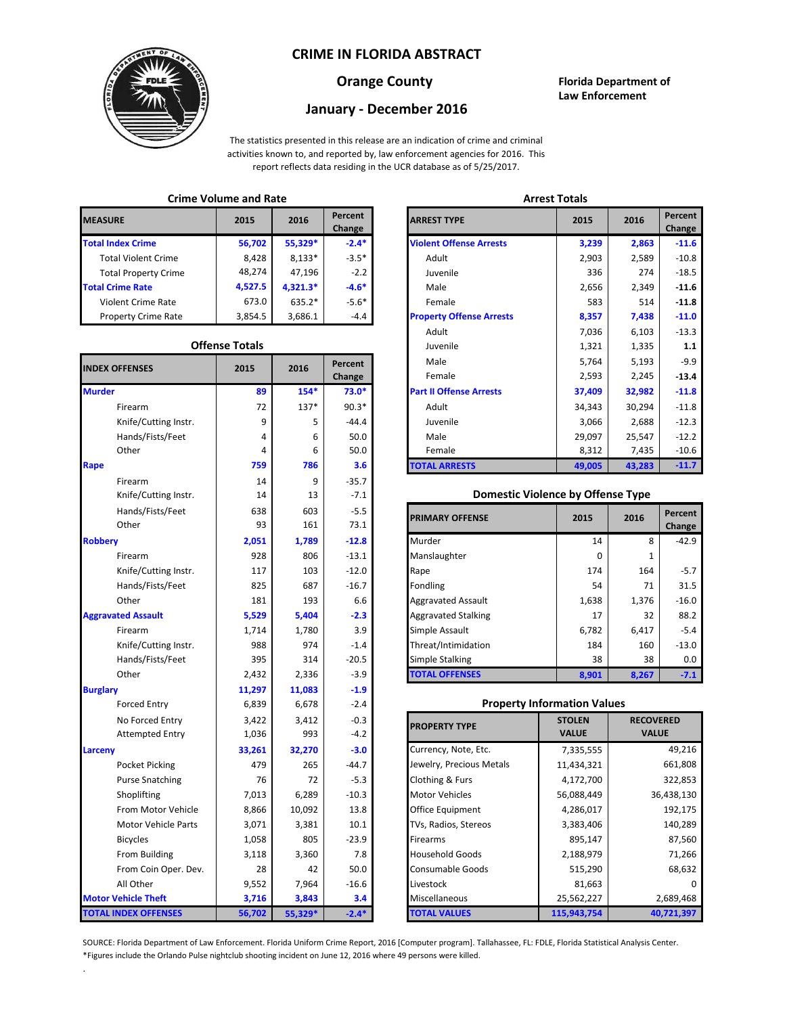## **CRIME IN FLORIDA ABSTRACT**



**Orange County Florida Department of Law Enforcement**

# **January - December 2016**

The statistics presented in this release are an indication of crime and criminal activities known to, and reported by, law enforcement agencies for 2016. This report reflects data residing in the UCR database as of 5/25/2017.

## **Crime Volume and Rate Arrest Totals**

| <b>MEASURE</b>              | 2015    | 2016       | <b>Percent</b><br>Change | <b>ARREST TYPE</b>             |
|-----------------------------|---------|------------|--------------------------|--------------------------------|
| <b>Total Index Crime</b>    | 56,702  | 55.329*    | $-2.4*$                  | <b>Violent Offense Arrests</b> |
| <b>Total Violent Crime</b>  | 8.428   | $8.133*$   | $-3.5*$                  | Adult                          |
| <b>Total Property Crime</b> | 48,274  | 47.196     | $-2.2$                   | Juvenile                       |
| <b>Total Crime Rate</b>     | 4,527.5 | $4,321.3*$ | $-4.6*$                  | Male                           |
| Violent Crime Rate          | 673.0   | $635.2*$   | $-5.6*$                  | Female                         |
| <b>Property Crime Rate</b>  | 3,854.5 | 3,686.1    | $-4.4$                   | <b>Property Offense Arrest</b> |

#### **Offense Totals**

| <b>INDEX OFFENSES</b>       | 2015   | 2016    | Percent<br>Change | Male<br>Female                           | 5,764<br>2,593 | 5,193<br>2,245   | $-9.9$<br>$-13.4$ |
|-----------------------------|--------|---------|-------------------|------------------------------------------|----------------|------------------|-------------------|
| <b>Murder</b>               | 89     | $154*$  | $73.0*$           | <b>Part II Offense Arrests</b>           | 37,409         | 32,982           | $-11.8$           |
| Firearm                     | 72     | 137*    | $90.3*$           | Adult                                    | 34,343         | 30,294           | $-11.8$           |
| Knife/Cutting Instr.        | 9      | 5       | $-44.4$           | Juvenile                                 | 3,066          | 2,688            | $-12.3$           |
| Hands/Fists/Feet            | 4      | 6       | 50.0              | Male                                     | 29,097         | 25,547           | $-12.2$           |
| Other                       | 4      | 6       | 50.0              | Female                                   | 8,312          | 7,435            | $-10.6$           |
| Rape                        | 759    | 786     | 3.6               | <b>TOTAL ARRESTS</b>                     | 49,005         | 43,283           | $-11.7$           |
| Firearm                     | 14     | 9       | $-35.7$           |                                          |                |                  |                   |
| Knife/Cutting Instr.        | 14     | 13      | $-7.1$            | <b>Domestic Violence by Offense Type</b> |                |                  |                   |
| Hands/Fists/Feet            | 638    | 603     | $-5.5$            | <b>PRIMARY OFFENSE</b>                   | 2015           | 2016             | Percent           |
| Other                       | 93     | 161     | 73.1              |                                          |                |                  | Change            |
| <b>Robbery</b>              | 2,051  | 1,789   | $-12.8$           | Murder                                   | 14             | 8                | $-42.9$           |
| Firearm                     | 928    | 806     | $-13.1$           | Manslaughter                             | $\mathbf 0$    | $\mathbf{1}$     |                   |
| Knife/Cutting Instr.        | 117    | 103     | $-12.0$           | Rape                                     | 174            | 164              | $-5.7$            |
| Hands/Fists/Feet            | 825    | 687     | $-16.7$           | Fondling                                 | 54             | 71               | 31.5              |
| Other                       | 181    | 193     | 6.6               | <b>Aggravated Assault</b>                | 1,638          | 1,376            | $-16.0$           |
| <b>Aggravated Assault</b>   | 5,529  | 5,404   | $-2.3$            | <b>Aggravated Stalking</b>               | 17             | 32               | 88.2              |
| Firearm                     | 1,714  | 1,780   | 3.9               | Simple Assault                           | 6,782          | 6,417            | $-5.4$            |
| Knife/Cutting Instr.        | 988    | 974     | $-1.4$            | Threat/Intimidation                      | 184            | 160              | $-13.0$           |
| Hands/Fists/Feet            | 395    | 314     | $-20.5$           | <b>Simple Stalking</b>                   | 38             | 38               | 0.0               |
| Other                       | 2,432  | 2,336   | $-3.9$            | <b>TOTAL OFFENSES</b>                    | 8,901          | 8,267            | $-7.1$            |
| <b>Burglary</b>             | 11,297 | 11,083  | $-1.9$            |                                          |                |                  |                   |
| <b>Forced Entry</b>         | 6,839  | 6,678   | $-2.4$            | <b>Property Information Values</b>       |                |                  |                   |
| No Forced Entry             | 3,422  | 3,412   | $-0.3$            | <b>PROPERTY TYPE</b>                     | <b>STOLEN</b>  | <b>RECOVERED</b> |                   |
| <b>Attempted Entry</b>      | 1,036  | 993     | $-4.2$            |                                          | <b>VALUE</b>   | <b>VALUE</b>     |                   |
| Larceny                     | 33,261 | 32,270  | $-3.0$            | Currency, Note, Etc.                     | 7,335,555      |                  | 49,216            |
| <b>Pocket Picking</b>       | 479    | 265     | $-44.7$           | Jewelry, Precious Metals                 | 11,434,321     |                  | 661,808           |
| <b>Purse Snatching</b>      | 76     | 72      | $-5.3$            | Clothing & Furs                          | 4,172,700      | 322,853          |                   |
| Shoplifting                 | 7,013  | 6,289   | $-10.3$           | <b>Motor Vehicles</b>                    | 56,088,449     |                  | 36,438,130        |
| From Motor Vehicle          | 8,866  | 10,092  | 13.8              | Office Equipment                         | 4,286,017      | 192,175          |                   |
| <b>Motor Vehicle Parts</b>  | 3,071  | 3,381   | 10.1              | TVs, Radios, Stereos                     | 3,383,406      |                  | 140,289           |
| <b>Bicycles</b>             | 1,058  | 805     | $-23.9$           | Firearms                                 | 895,147        |                  | 87,560            |
| From Building               | 3,118  | 3,360   | 7.8               | <b>Household Goods</b>                   | 2,188,979      |                  | 71,266            |
| From Coin Oper. Dev.        | 28     | 42      | 50.0              | Consumable Goods                         | 515,290        |                  | 68,632            |
| All Other                   | 9,552  | 7,964   | $-16.6$           | Livestock                                | 81,663         |                  | $\Omega$          |
| <b>Motor Vehicle Theft</b>  | 3,716  | 3,843   | 3.4               | Miscellaneous                            | 25,562,227     |                  | 2,689,468         |
| <b>TOTAL INDEX OFFENSES</b> | 56,702 | 55,329* | $-2.4*$           | <b>TOTAL VALUES</b>                      | 115,943,754    |                  | 40,721,397        |

.

| łЕ                   | 2015                  | 2016       | Percent<br>Change | <b>ARREST TYPE</b>              | 2015   | 2016   | Percent<br>Change |
|----------------------|-----------------------|------------|-------------------|---------------------------------|--------|--------|-------------------|
| dex Crime            | 56,702                | 55,329*    | $-2.4*$           | <b>Violent Offense Arrests</b>  | 3,239  | 2,863  | $-11.6$           |
| ıl Violent Crime     | 8,428                 | $8,133*$   | $-3.5*$           | Adult                           | 2,903  | 2,589  |                   |
| Il Property Crime    | 48,274                | 47,196     | $-2.2$            | Juvenile                        | 336    | 274    |                   |
| me Rate              | 4,527.5               | $4,321.3*$ | $-4.6*$           | Male                            | 2,656  | 2,349  | $-11.6$           |
| ent Crime Rate       | 673.0                 | 635.2*     | $-5.6*$           | Female                          | 583    | 514    | $-11.8$           |
| erty Crime Rate      | 3,854.5               | 3,686.1    | $-4.4$            | <b>Property Offense Arrests</b> | 8,357  | 7,438  | $-11.0$           |
|                      |                       |            |                   | Adult                           | 7,036  | 6,103  | $-13.3$           |
|                      | <b>Offense Totals</b> |            |                   | Juvenile                        | 1,321  | 1,335  |                   |
| <b>FFENSES</b>       | 2015                  | 2016       | Percent           | Male                            | 5,764  | 5,193  |                   |
|                      |                       |            | Change            | Female                          | 2,593  | 2,245  | $-13.4$           |
|                      | 89                    | $154*$     | $73.0*$           | <b>Part II Offense Arrests</b>  | 37,409 | 32,982 | $-11.8$           |
| Firearm              | 72                    | $137*$     | $90.3*$           | Adult                           | 34,343 | 30,294 | $-11.8$           |
| Knife/Cutting Instr. | 9                     | 5          | $-44.4$           | Juvenile                        | 3,066  | 2,688  | $-12.3$           |
| Hands/Fists/Feet     | 4                     | 6          | 50.0              | Male                            | 29,097 | 25,547 | $-12.2$           |
| Other                | 4                     | 6          | 50.0              | Female                          | 8,312  | 7,435  | $-10.6$           |
|                      | 759                   | 786        | 3.6               | <b>TOTAL ARRESTS</b>            | 49,005 | 43,283 | $-11.7$           |

#### **Domestic Violence by Offense Type**

| Hands/Fists/Feet<br>Other | 638<br>93 | 603<br>161 | $-5.5$<br>73.1 | <b>PRIMARY OFFENSE</b>     | 2015     | 2016  | Percent<br>Change |
|---------------------------|-----------|------------|----------------|----------------------------|----------|-------|-------------------|
|                           | 2,051     | 1,789      | $-12.8$        | Murder                     | 14       | 8     | $-42.9$           |
| Firearm                   | 928       | 806        | $-13.1$        | Manslaughter               | $\Omega$ |       |                   |
| Knife/Cutting Instr.      | 117       | 103        | $-12.0$        | Rape                       | 174      | 164   | $-5.7$            |
| Hands/Fists/Feet          | 825       | 687        | $-16.7$        | Fondling                   | 54       | 71    | 31.5              |
| Other                     | 181       | 193        | 6.6            | <b>Aggravated Assault</b>  | 1,638    | 1,376 | $-16.0$           |
| ted Assault               | 5,529     | 5,404      | $-2.3$         | <b>Aggravated Stalking</b> | 17       | 32    | 88.2              |
| Firearm                   | 1,714     | 1,780      | 3.9            | Simple Assault             | 6,782    | 6,417 | $-5.4$            |
| Knife/Cutting Instr.      | 988       | 974        | $-1.4$         | Threat/Intimidation        | 184      | 160   | $-13.0$           |
| Hands/Fists/Feet          | 395       | 314        | $-20.5$        | Simple Stalking            | 38       | 38    | 0.0               |
| Other                     | 2,432     | 2,336      | $-3.9$         | <b>TOTAL OFFENSES</b>      | 8,901    | 8,267 | $-7.1$            |

#### **Property Information Values**

| 3,422  | 3,412   | $-0.3$  | <b>PROPERTY TYPE</b>     | <b>STOLEN</b> | <b>RECOVERED</b> |
|--------|---------|---------|--------------------------|---------------|------------------|
| 1,036  | 993     | $-4.2$  |                          | <b>VALUE</b>  | <b>VALUE</b>     |
| 33,261 | 32,270  | $-3.0$  | Currency, Note, Etc.     | 7,335,555     | 49,216           |
| 479    | 265     | $-44.7$ | Jewelry, Precious Metals | 11,434,321    | 661,808          |
| 76     | 72      | $-5.3$  | Clothing & Furs          | 4,172,700     | 322,853          |
| 7,013  | 6,289   | $-10.3$ | <b>Motor Vehicles</b>    | 56,088,449    | 36,438,130       |
| 8,866  | 10,092  | 13.8    | Office Equipment         | 4,286,017     | 192,175          |
| 3,071  | 3,381   | 10.1    | TVs, Radios, Stereos     | 3,383,406     | 140,289          |
| 1,058  | 805     | $-23.9$ | <b>Firearms</b>          | 895,147       | 87,560           |
| 3,118  | 3,360   | 7.8     | <b>Household Goods</b>   | 2,188,979     | 71,266           |
| 28     | 42      | 50.0    | <b>Consumable Goods</b>  | 515,290       | 68,632           |
| 9,552  | 7,964   | $-16.6$ | Livestock                | 81,663        |                  |
| 3,716  | 3,843   | 3.4     | Miscellaneous            | 25,562,227    | 2,689,468        |
| 56,702 | 55,329* | $-2.4*$ | <b>TOTAL VALUES</b>      | 115,943,754   | 40,721,397       |

SOURCE: Florida Department of Law Enforcement. Florida Uniform Crime Report, 2016 [Computer program]. Tallahassee, FL: FDLE, Florida Statistical Analysis Center. \*Figures include the Orlando Pulse nightclub shooting incident on June 12, 2016 where 49 persons were killed.